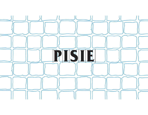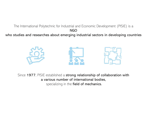The International Polytechnic for Industrial and Economic Development (PISIE) is a NGO

who studies and researches about emerging industrial sectors in developing countries



Since 1977, PISIE established a strong relationship of collaboration with a various number of international bodies, specializing in the field of mechanics.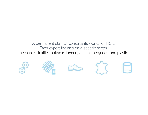# A permanent staff of consultants works for PISIE.<br>Each expert focuses on a specific sector:<br>cs, textile, footwear, tannery and leathergoods, and plastic Experiment staff of consultants works for PISIE.<br>Each expert focuses on a specific sector:<br>extile, footwear, tannery and leathergoods, and plastics A permanent staff of consultants works for PISIE.<br>
Each expert focuses on a specific sector:<br>
mechanics, textile, footwear, tannery and leathergoods, and plastics<br>  $\begin{matrix}\n\sqrt{2} & \sqrt{2} \\
\sqrt{2} & \sqrt{2}\n\end{matrix}$









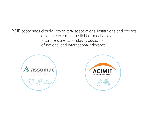PISIE cooperates closely with several associations, institutions and experts<br>of different sectors in the field of mechanics.<br>Its partners are two industry associations<br>of national and international relevance: es closely with several associations, institutions and expert of different sectors in the field of mechanics.<br>Its partners are two industry associations<br>of national and international relevance: Its closely with several associations, institutions and experts<br>Its partners are two industry associations<br>Its partners are two industry associations<br>of national and international relevance: of national and international relevance:



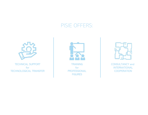## PISIE OFFERS:



TECHNICAL SUPPORT for TECHNOLOGICAL TRANSFER



for PROFESSIONAL **FIGURES** 



CONSULTANCY and INTERNATIONAL **COOPERATION**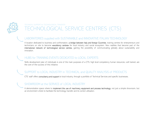

## TECHNICAL SUPPORT for TECHNOLOGICAL TRANSFER GICAL SERVICE CENTRES (CT

TTCLINCAL SUPPORT 6x TTCLINO) OGICAL TRANSFTR<br>TECHNOLOGICAL SERVICE CENTRES (CTS)<br>A location decleated to business and confrontation, **a bridge between Italy and foreign Countries,** training centres for enterpreneurs and<br>t TECHNOLOGICAL SERVICE CENTRES (CTS)<br>LABORATORIES supplied with SUSTAINABLE and INNOVATIVE ITALIAN TECHNOLOGY<br>A location dedicated to business and confrontation, a **bridge between Italy and foreign Countries**, training cent TECHNICIL SUPPORT IN TECHNOLOGICAL TRANSFER<br>TECHNICILOGICAL SERVICE CENTRES (CTS)<br>A location decirated to business and confrontation, a b**ridge between italy and foreign Counties**. training centres for enterpreneurs and<br>ac TECHNOLOGICAL TRANSER<br>|TECHNOLOGICAL SERVICE CENTRES (CTS)<br>|ABORATORIES supplied with SUSTAINABLE and INNOVATIVE ITALIAN TECHNOLOGY<br>|Algotion idealized to business and communicating about sustanability and for communicatin innovation. TECHNOL SUPPORT IS TECHNOLOGICAL TRANSFER<br>HABORATORIES supplied with SUSTAINABLE and INNOVATIVE ITALIAN TECHNOLOGY<br>A location dedicated to business and conformation, a b**ridge between Italy and foreign Countries**, training IFORMICAL SURPORT BY IFORMOTOGICAL IMANSHIPLE AND INC. THE CENTRES (CTS)<br>CHARGE AROUNT PRESS Supplied with SUSTAINABLE and INNOVATIVE ITALIAN TECHNOLOGY<br>A location desticated to business and confortation, **a bidge between** TECHINGAL SUPPORT for TECHINOLOGICAL TRANSFER<br>
TECHINOLOGICAL SERVICE CENTRES (C<br>
LABORATORIES supplied with SUSTAINABLE and INNOVATIVE ITALIAN TE<br>
A location dedicated to business and confrontation, **a bridge between ital** TECHNOLOGICAL MISSIE AND LOGICAL SERVICE CENTRES (CTS)<br>LABORATORIES supplied with SUSTAINABLE and INNOVATIVE ITALIAN TECHNOLOGY<br>A focalion dicticated to business and controlation, **a bridge between Italy and foreign Countr** TECTS' Staff of the SERVICE of LOCAL INDUSTRY<br>
Moation dedicated to business and confortation, **a bidge between Italy and foreign Countries**, training centres for enterpreneurs and<br>
networkians on site to business and conf LABORATORIES supplied with SUSTAINABLE and INNOVATIVE ITALIAN TECHNOLOGY<br>A location dedicated to business and confrontation, a **bridge between Italy and foreign Countries**, training centres for enterpreneute<br>hiternational A location dedicated to business and confrontation, a **bridge between Italy and foreign Countries**, training centres for emergeneurs and tochnological service where to implement in the use of machinery and social coopysion An example, the become and constant and constant where the technology transfer and inclusion of the technological service centres, gaining the possibilty of communicating globally about sustanability and increased and netw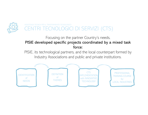

## FORMENIO TENGLOGICI DI SERVIZI (CTS)<br>Focusing on the partner Country's needs,<br>**ped specific projects coordinated by a mixed task**<br>force: ENTRI TECNOLOGICI DI SERVIZI (CTS)<br>Focusing on the partner Country's needs,<br>PISIE developed specific projects coordinated by a mixed task<br>PISIE, its technological partners, and the local counterpart formed by<br>Industry Asso force: PISIE, its technological partners, and the local counterpart formed by a mixed task<br>PISIE, its technological partners, and the local counterpart formed by<br>Industry Associations and public and private institutions. INDUSTRIAL INCORRENT INCORRENT INCORRENT INCORRENT INCORRENT (CTS)<br>
Focusing on the partner Country's needs,<br> **developed specific projects coordinated by a mixed task**<br>
force:<br>
its technological partners, and the local cou

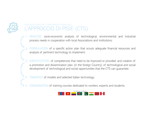

## ASSISTENZA TECNICA PER IL TRASFERIMENTO TECNOLOGICO L'APPROCCIO DI PISIE (CTS)

- SSISTENZA TECNICA PER IL TRASFERIMENTO TECNOLOGICO<br>
1. ANALYSIS socio-economic analysis of technological, environmental and industrial<br>
process needs in cooperation with local Associations and institutions;<br>
2. FORMULATION
- THZA TECHICA PER II TRASEFRIMENTO TECNOLOGICO<br>APPROCCIO DI PISIE (CTS)<br>ANALYSIS socio-economic analysis of technological, environmental and industrial<br>process needs in cooperation with local Associations and institutions;<br> ESISTERZA TECNICA PER ILL TRASPERMENTO TECNOLOGICO<br>
<sup>2</sup> APPROCCIO DI PISIE (CTS)<br>
2. FORMULATION of a specific action plan that scouts adeguate financial resources and<br>
2. FORMULATION of a specific action plan that scouts ENZATECNICA PER LITRASFERIMENTO TECNOLOGICO<br>ANALYSIS socio-economic analysis of technological, environmental and industri<br>process needs in cooperation with local Associations and institutions;<br>FORMULATION of a specific act
- 3. ISBNA TENICA PER IL TRASPERIMENTO TEONOLOGICO<br>
1. ANALYSIS socio-economic analysis of technological, environmental and industrial<br>
process needs in cooperation with local Associations and institutions:<br>
2. FORMULATION o FIVA IECNICA PHRIT TRASEFERIND IFORDIOGICO<br>ANALYSIS socio-economic analysis of technological, environmental and industrial<br>process needs in cooperation with local Associations and institutions;<br>FORMULATION of a specific ac BRANCISTS Socio-economic analysis of technological, environmental and industrial<br>process needs in cooperation with local Associations and institutions;<br>FORMULATION of a specific action plan that scouts adeguate financial r 4. ANALYSIS socio-economic analysis of technological, environmental and industrial<br>process needs in cooperation with local Associations and institutions;<br>2. FORMULATION of a specific action plan that scouts adeguate financ FORMULATION of a specific action plan that scouts adeguate financial resources and<br>analysis of pertinent technology to implement:<br>3. IDENTIFICATION of competences that need to be improved or provided, and creation of<br>a pro
- 
- 

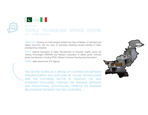

## ITALY-PAKISTAN TALY-PAYSTAN<br>TEXTILE TECHNOLOGY SERVICE CENTRE<br>2021 – LAHORE (PAYSTAN)<br>OBJECTIVE: Carrying out a technological transfer from Italy to Pakistan, of machinery and TALY-PAKISTAN<br>2021 – LAHORE (PAKISTAN)<br>2021 – LAHORE (PAKISTAN)<br>**OBJECTIVE:** Carrying out a technological transfer from Italy to Pakistan, of machinery and<br>relative know-how, with the vision of promoting marketing focused OBJECTIVE: CENTRE<br>TEXTILE: TECHNOLOGY: SERVICE CENTRE<br>2021 – LAHORE (PARISTAN)<br>PARTS: National Association of titalian manufacturing focused activities of titalian<br>PARTS: National Association of Italian Manufacturers of To relative know-how the vision of promoting marketing focused activities of Italian manufacturity and celebrative know-how, with the vision of promoting marketing focused activities of Italian manufacturity and celebrative k TALY-PAKISTAN<br>MALY-PAKISTAN<br>2021 — LAHORE (PAKISTAN)<br>2021 — LAHORE (PAKISTAN)<br>2021 — LAHORE (PAKISTAN)<br>TELECTIVE: Carrying out a technological transfer from Italy to Pakistan, of machinery<br>are relative know-how, with the v PARTS: PARTS: NATIONAL TECHNOLOGY SERVICE CENTRE<br>PARTS: NATIONAL (WASS) (AN)<br>COBECTIVE: Canying out a lectrological tarisfer from lain to Partsian, of machinery and<br>painties, heather goods, and painting companies.<br>PARTS: N TEXTILE TECHNOLOGY SERVICE CENTRE<br>TEXTILE TECHNOLOGY SERVICE CENTRE<br>POP - LAHOR ((INVSTAN)<br>DOBECTIVE: Carrying out a tochnological transfor from Italy to Pakistan, of machiney and<br>paking horowhologies ASSOMAC and Pakistan' TEXTILE TECHNOLOGY SERVICE CENTRE<br>2021 - LAHORE (PAKISTAN)<br>2021 - LAHORE (PAKISTAN)<br>Indiana technologies are alternation of promoting marketing focused activities of Italian<br>PARTIS: National Association of Italian Manufact FEXTILE TECHNOLOGY SERVICE CENTRE<br>
FEXTILE TECHNOLOGY SERVICE CENTRE<br>
2021 – LAHORE (PAKISTAN)<br>
OBJECTIVE: Carrying out a technological transfer from Italy to Pakistan, of machinery and<br>
relative know-how, with the vision

CONCRETE CAPT THE TRANSPORT INTERNATION THE TRANSPORT CONTRIBUTION CONTROLL CONTROLL CONTROLL CONTROLL CONTROLL CONTROLL CONTROLL CONTROLL CONTROLL CONTROLL CONTROLL CONTROLL CONTROLL CONTROLL CONTROLL CONTROLL CONTROLL CO

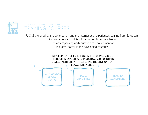

### TRAINING FOR LOCAL PROFESSIONAL FIGURES TRAINING COURSES

ENAINING FOR LOCAL PROFESSIONAL FIGURES<br>P.I.S.I.E., fortified by the contribution and the international experiences coming from European,<br>African, American and Asiatic countries, is responsible for<br>the accompanying and edu ONAL FIGURES<br>COURSES<br>The contribution and the international experiences coming from European,<br>African, American and Asiatic countries, is responsible for<br>the accompanying and education to development of<br>industrial sector i AL FIGURES<br>
OURSES<br>
The contribution and the international experiences coming from European,<br>
tican, American and Asiatic countries, is responsible for<br>
the accompanying and education to development of<br>
industrial sector i <sup>URCS</sup><br>URSES<br>ontribution and the international experiences coming from European,<br>i, American and Asiatic countries, is responsible for<br>accompanying and education to development of<br>industrial sector in the developing countr

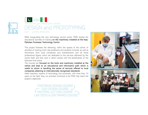



2021 – LAHORE (PAKISTAN)<br>
While inaugurating the new technology service centre, PISIE started the<br>
educational activities of training **on the machinery installed at the Italy-**<br> **Pakistan Footwear Technology Centre.**<br>
This

FOOTWEAR DESIGN COURSE  $_{\mathfrak{d}}$  and the set of  $\mathfrak{g}$ CAD DESIGN COURSE MATERIAL CUTTING COURSE AND LEADER THE RESERVE ENTITLEMENT OF THE RESERVE ENTITLE LAB TESTS & SOFTWARES COURS

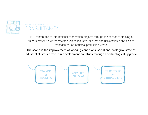

## INTERNATIONAL COOPERATION **CONSULTANCY**

PISIE contributes to international cooperation projects through the service of training of trainers present in environments such as industrial clusters and universities in the field of management of industrial production waste.

The scope is the improvement of working conditions, social and ecological state of industrial clusters present in development countries through a technological upgrade.

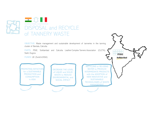

Stahl, Dugros

for a SUSTAINABLE PRODUCTION and **CONSUMPTION** in ASIA

WASTE to REDUCE ENVIRONMENTAL and SOCIAL IMPACT PROMOTING INITIATIVES DECREASE THE LEVEL

RECYCLING or RE-USING WATER to PRODUCE INTERMEDIATE PRODUCTS MERINE DIRECTAIN ON THE VERTICAL CONTRACT CONTRACT CONTRACT CONTRACT CONTRACT CONTRACT CONTRACT CONTRACT CONTRACT CONTRACT CONTRACT CONTRACT CONTRACT CONTRACT CONTRACT CONTRACT CONTRACT CONTRACT CONTRACT CONTRACT CONTRACT NEW INNOVATIVE and **SUSTAINABLE** TECHNOLOGIES of WASTE MANAGEMENT of LIQUID and SOLID<br>WASTE to PEDUCE with the ADOPTION of